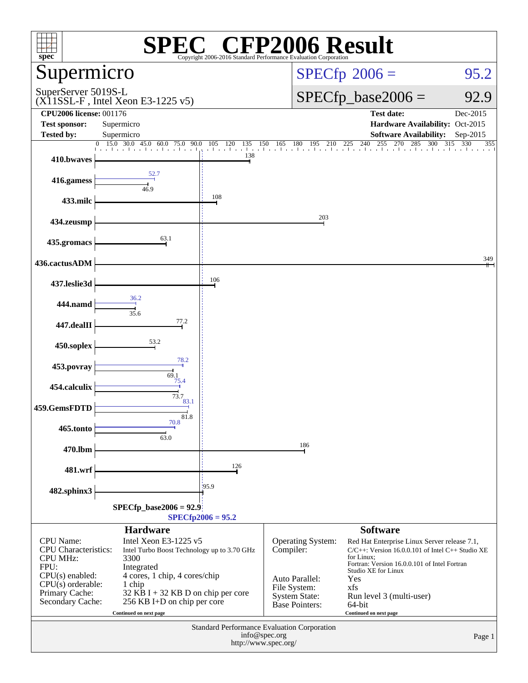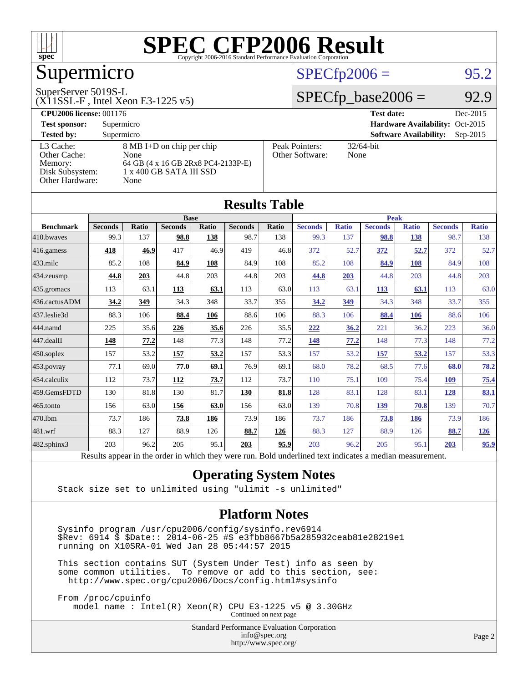

## Supermicro

#### SuperServer 5019S-L

(X11SSL-F , Intel Xeon E3-1225 v5)

#### $SPECfp2006 = 95.2$  $SPECfp2006 = 95.2$

#### $SPECfp\_base2006 = 92.9$

| <b>CPU2006 license: 001176</b>                                             |                                                                                                                      |                                   | <b>Test date:</b><br>Dec-2015               |
|----------------------------------------------------------------------------|----------------------------------------------------------------------------------------------------------------------|-----------------------------------|---------------------------------------------|
| <b>Test sponsor:</b>                                                       | Supermicro                                                                                                           |                                   | Hardware Availability: Oct-2015             |
| <b>Tested by:</b>                                                          | Supermicro                                                                                                           |                                   | <b>Software Availability:</b><br>$Sep-2015$ |
| L3 Cache:<br>Other Cache:<br>Memory:<br>Disk Subsystem:<br>Other Hardware: | $8 \text{ MB I+D}$ on chip per chip<br>None<br>64 GB (4 x 16 GB 2Rx8 PC4-2133P-E)<br>1 x 400 GB SATA III SSD<br>None | Peak Pointers:<br>Other Software: | $32/64$ -bit<br>None                        |

**[Results Table](http://www.spec.org/auto/cpu2006/Docs/result-fields.html#ResultsTable)**

|                  |                                                                                                          |       |                |       | Results Table  |             |                |              |                |              |                |              |
|------------------|----------------------------------------------------------------------------------------------------------|-------|----------------|-------|----------------|-------------|----------------|--------------|----------------|--------------|----------------|--------------|
|                  | <b>Base</b>                                                                                              |       |                |       |                | <b>Peak</b> |                |              |                |              |                |              |
| <b>Benchmark</b> | <b>Seconds</b>                                                                                           | Ratio | <b>Seconds</b> | Ratio | <b>Seconds</b> | Ratio       | <b>Seconds</b> | <b>Ratio</b> | <b>Seconds</b> | <b>Ratio</b> | <b>Seconds</b> | <b>Ratio</b> |
| 410.bwayes       | 99.3                                                                                                     | 137   | 98.8           | 138   | 98.7           | 138         | 99.3           | 137          | 98.8           | 138          | 98.7           | 138          |
| 416.gamess       | 418                                                                                                      | 46.9  | 417            | 46.9  | 419            | 46.8        | 372            | 52.7         | 372            | 52.7         | 372            | 52.7         |
| 433.milc         | 85.2                                                                                                     | 108   | 84.9           | 108   | 84.9           | 108         | 85.2           | 108          | 84.9           | 108          | 84.9           | 108          |
| 434.zeusmp       | 44.8                                                                                                     | 203   | 44.8           | 203   | 44.8           | 203         | 44.8           | 203          | 44.8           | 203          | 44.8           | 203          |
| 435.gromacs      | 113                                                                                                      | 63.1  | 113            | 63.1  | 113            | 63.0        | 113            | 63.1         | <b>113</b>     | 63.1         | 113            | 63.0         |
| 436.cactusADM    | 34.2                                                                                                     | 349   | 34.3           | 348   | 33.7           | 355         | 34.2           | 349          | 34.3           | 348          | 33.7           | 355          |
| 437.leslie3d     | 88.3                                                                                                     | 106   | 88.4           | 106   | 88.6           | 106         | 88.3           | 106          | 88.4           | <b>106</b>   | 88.6           | 106          |
| 444.namd         | 225                                                                                                      | 35.6  | 226            | 35.6  | 226            | 35.5        | 222            | 36.2         | 221            | 36.2         | 223            | 36.0         |
| 447.dealII       | 148                                                                                                      | 77.2  | 148            | 77.3  | 148            | 77.2        | 148            | 77.2         | 148            | 77.3         | 148            | 77.2         |
| $450$ .soplex    | 157                                                                                                      | 53.2  | 157            | 53.2  | 157            | 53.3        | 157            | 53.2         | 157            | 53.2         | 157            | 53.3         |
| 453.povray       | 77.1                                                                                                     | 69.0  | 77.0           | 69.1  | 76.9           | 69.1        | 68.0           | 78.2         | 68.5           | 77.6         | 68.0           | <u>78.2</u>  |
| 454.calculix     | 112                                                                                                      | 73.7  | <u>112</u>     | 73.7  | 112            | 73.7        | 110            | 75.1         | 109            | 75.4         | <b>109</b>     | 75.4         |
| 459.GemsFDTD     | 130                                                                                                      | 81.8  | 130            | 81.7  | 130            | 81.8        | 128            | 83.1         | 128            | 83.1         | <u>128</u>     | 83.1         |
| 465.tonto        | 156                                                                                                      | 63.0  | 156            | 63.0  | 156            | 63.0        | 139            | 70.8         | 139            | 70.8         | 139            | 70.7         |
| 470.1bm          | 73.7                                                                                                     | 186   | 73.8           | 186   | 73.9           | 186         | 73.7           | 186          | 73.8           | 186          | 73.9           | 186          |
| 481.wrf          | 88.3                                                                                                     | 127   | 88.9           | 126   | 88.7           | 126         | 88.3           | 127          | 88.9           | 126          | 88.7           | <u>126</u>   |
| 482.sphinx3      | 203                                                                                                      | 96.2  | 205            | 95.1  | 203            | 95.9        | 203            | 96.2         | 205            | 95.1         | 203            | 95.9         |
|                  | Results appear in the order in which they were run. Bold underlined text indicates a median measurement. |       |                |       |                |             |                |              |                |              |                |              |

#### **[Operating System Notes](http://www.spec.org/auto/cpu2006/Docs/result-fields.html#OperatingSystemNotes)**

Stack size set to unlimited using "ulimit -s unlimited"

#### **[Platform Notes](http://www.spec.org/auto/cpu2006/Docs/result-fields.html#PlatformNotes)**

 Sysinfo program /usr/cpu2006/config/sysinfo.rev6914 \$Rev: 6914 \$ \$Date:: 2014-06-25 #\$ e3fbb8667b5a285932ceab81e28219e1 running on X10SRA-01 Wed Jan 28 05:44:57 2015

 This section contains SUT (System Under Test) info as seen by some common utilities. To remove or add to this section, see: <http://www.spec.org/cpu2006/Docs/config.html#sysinfo>

 From /proc/cpuinfo model name : Intel(R) Xeon(R) CPU E3-1225 v5 @ 3.30GHz Continued on next page

Standard Performance Evaluation Corporation

[info@spec.org](mailto:info@spec.org) <http://www.spec.org/>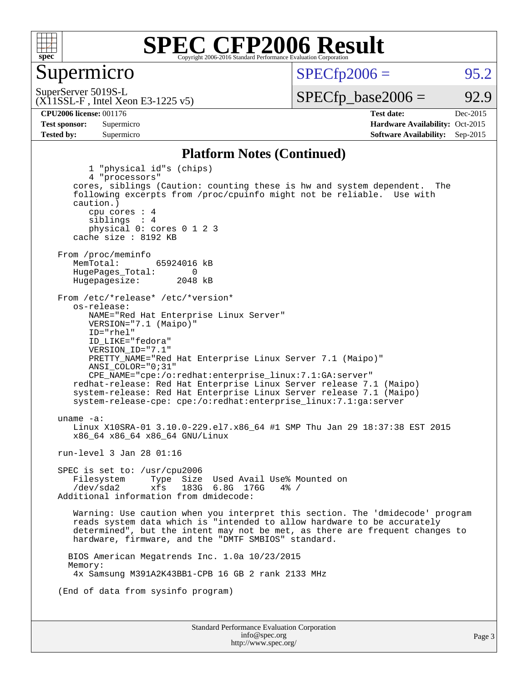

#### Supermicro

 $SPECTp2006 = 95.2$ 

(X11SSL-F , Intel Xeon E3-1225 v5) SuperServer 5019S-L

 $SPECTp\_base2006 = 92.9$ 

**[CPU2006 license:](http://www.spec.org/auto/cpu2006/Docs/result-fields.html#CPU2006license)** 001176 **[Test date:](http://www.spec.org/auto/cpu2006/Docs/result-fields.html#Testdate)** Dec-2015 **[Test sponsor:](http://www.spec.org/auto/cpu2006/Docs/result-fields.html#Testsponsor)** Supermicro Supermicro **[Hardware Availability:](http://www.spec.org/auto/cpu2006/Docs/result-fields.html#HardwareAvailability)** Oct-2015 **[Tested by:](http://www.spec.org/auto/cpu2006/Docs/result-fields.html#Testedby)** Supermicro **[Software Availability:](http://www.spec.org/auto/cpu2006/Docs/result-fields.html#SoftwareAvailability)** Sep-2015

#### **[Platform Notes \(Continued\)](http://www.spec.org/auto/cpu2006/Docs/result-fields.html#PlatformNotes)**

Standard Performance Evaluation Corporation [info@spec.org](mailto:info@spec.org) 1 "physical id"s (chips) 4 "processors" cores, siblings (Caution: counting these is hw and system dependent. The following excerpts from /proc/cpuinfo might not be reliable. Use with caution.) cpu cores : 4 siblings : 4 physical 0: cores 0 1 2 3 cache size : 8192 KB From /proc/meminfo<br>MemTotal: 65924016 kB HugePages\_Total: 0<br>Hugepagesize: 2048 kB Hugepagesize: From /etc/\*release\* /etc/\*version\* os-release: NAME="Red Hat Enterprise Linux Server" VERSION="7.1 (Maipo)" ID="rhel" ID\_LIKE="fedora" VERSION\_ID="7.1" PRETTY\_NAME="Red Hat Enterprise Linux Server 7.1 (Maipo)" ANSI\_COLOR="0;31" CPE\_NAME="cpe:/o:redhat:enterprise\_linux:7.1:GA:server" redhat-release: Red Hat Enterprise Linux Server release 7.1 (Maipo) system-release: Red Hat Enterprise Linux Server release 7.1 (Maipo) system-release-cpe: cpe:/o:redhat:enterprise\_linux:7.1:ga:server uname -a: Linux X10SRA-01 3.10.0-229.el7.x86\_64 #1 SMP Thu Jan 29 18:37:38 EST 2015 x86\_64 x86\_64 x86\_64 GNU/Linux run-level 3 Jan 28 01:16 SPEC is set to: /usr/cpu2006 Filesystem Type Size Used Avail Use% Mounted on<br>
/dev/sda2 xfs 183G 6 8G 176G 4% / 183G 6.8G 176G Additional information from dmidecode: Warning: Use caution when you interpret this section. The 'dmidecode' program reads system data which is "intended to allow hardware to be accurately determined", but the intent may not be met, as there are frequent changes to hardware, firmware, and the "DMTF SMBIOS" standard. BIOS American Megatrends Inc. 1.0a 10/23/2015 Memory: 4x Samsung M391A2K43BB1-CPB 16 GB 2 rank 2133 MHz (End of data from sysinfo program)

<http://www.spec.org/>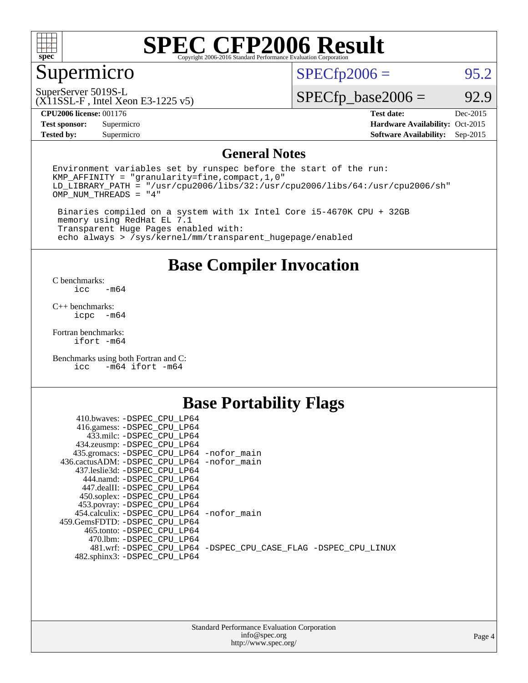

### Supermicro

 $SPECfp2006 = 95.2$  $SPECfp2006 = 95.2$ 

SuperServer 5019S-L

(X11SSL-F , Intel Xeon E3-1225 v5)

 $SPECfp\_base2006 = 92.9$ 

**[CPU2006 license:](http://www.spec.org/auto/cpu2006/Docs/result-fields.html#CPU2006license)** 001176 **[Test date:](http://www.spec.org/auto/cpu2006/Docs/result-fields.html#Testdate)** Dec-2015

**[Test sponsor:](http://www.spec.org/auto/cpu2006/Docs/result-fields.html#Testsponsor)** Supermicro Supermicro **[Hardware Availability:](http://www.spec.org/auto/cpu2006/Docs/result-fields.html#HardwareAvailability)** Oct-2015 **[Tested by:](http://www.spec.org/auto/cpu2006/Docs/result-fields.html#Testedby)** Supermicro **Supermicro [Software Availability:](http://www.spec.org/auto/cpu2006/Docs/result-fields.html#SoftwareAvailability)** Sep-2015

#### **[General Notes](http://www.spec.org/auto/cpu2006/Docs/result-fields.html#GeneralNotes)**

Environment variables set by runspec before the start of the run: KMP\_AFFINITY = "granularity=fine,compact,1,0"  $LD$ <sup>LIBRARY\_PATH = "/usr/cpu2006/libs/32:/usr/cpu2006/libs/64:/usr/cpu2006/sh"</sup> OMP\_NUM\_THREADS = "4"

 Binaries compiled on a system with 1x Intel Core i5-4670K CPU + 32GB memory using RedHat EL 7.1 Transparent Huge Pages enabled with: echo always > /sys/kernel/mm/transparent\_hugepage/enabled

#### **[Base Compiler Invocation](http://www.spec.org/auto/cpu2006/Docs/result-fields.html#BaseCompilerInvocation)**

[C benchmarks](http://www.spec.org/auto/cpu2006/Docs/result-fields.html#Cbenchmarks):  $-m64$ 

[C++ benchmarks:](http://www.spec.org/auto/cpu2006/Docs/result-fields.html#CXXbenchmarks) [icpc -m64](http://www.spec.org/cpu2006/results/res2016q1/cpu2006-20151223-38497.flags.html#user_CXXbase_intel_icpc_64bit_bedb90c1146cab66620883ef4f41a67e)

[Fortran benchmarks](http://www.spec.org/auto/cpu2006/Docs/result-fields.html#Fortranbenchmarks): [ifort -m64](http://www.spec.org/cpu2006/results/res2016q1/cpu2006-20151223-38497.flags.html#user_FCbase_intel_ifort_64bit_ee9d0fb25645d0210d97eb0527dcc06e)

[Benchmarks using both Fortran and C](http://www.spec.org/auto/cpu2006/Docs/result-fields.html#BenchmarksusingbothFortranandC):<br>icc -m64 ifort -m64  $-m64$  ifort  $-m64$ 

#### **[Base Portability Flags](http://www.spec.org/auto/cpu2006/Docs/result-fields.html#BasePortabilityFlags)**

| 410.bwaves: -DSPEC CPU LP64                 |                                                                |
|---------------------------------------------|----------------------------------------------------------------|
| 416.gamess: -DSPEC_CPU_LP64                 |                                                                |
| 433.milc: -DSPEC CPU LP64                   |                                                                |
| 434.zeusmp: -DSPEC_CPU_LP64                 |                                                                |
| 435.gromacs: -DSPEC_CPU_LP64 -nofor_main    |                                                                |
| 436.cactusADM: -DSPEC CPU LP64 -nofor main  |                                                                |
| 437.leslie3d: -DSPEC CPU LP64               |                                                                |
| 444.namd: -DSPEC CPU LP64                   |                                                                |
| 447.dealII: -DSPEC CPU LP64                 |                                                                |
| 450.soplex: -DSPEC_CPU_LP64                 |                                                                |
| 453.povray: -DSPEC_CPU_LP64                 |                                                                |
| 454.calculix: - DSPEC CPU LP64 - nofor main |                                                                |
| 459. GemsFDTD: - DSPEC CPU LP64             |                                                                |
| 465.tonto: - DSPEC CPU LP64                 |                                                                |
| 470.1bm: - DSPEC CPU LP64                   |                                                                |
|                                             | 481.wrf: -DSPEC_CPU_LP64 -DSPEC_CPU_CASE_FLAG -DSPEC_CPU_LINUX |
| 482.sphinx3: -DSPEC_CPU_LP64                |                                                                |
|                                             |                                                                |

| <b>Standard Performance Evaluation Corporation</b> |
|----------------------------------------------------|
| info@spec.org                                      |
| http://www.spec.org/                               |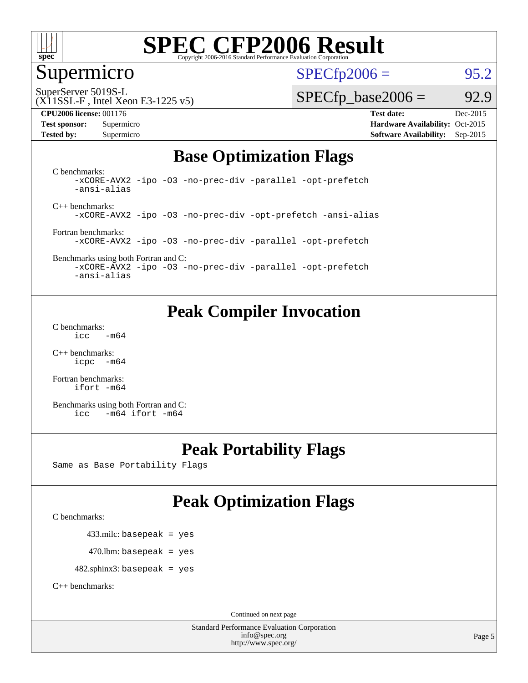

### Supermicro

 $SPECTp2006 = 95.2$ 

SuperServer 5019S-L

#### (X11SSL-F , Intel Xeon E3-1225 v5)

**[Tested by:](http://www.spec.org/auto/cpu2006/Docs/result-fields.html#Testedby)** Supermicro **Supermicro [Software Availability:](http://www.spec.org/auto/cpu2006/Docs/result-fields.html#SoftwareAvailability)** Sep-2015

 $SPECTp\_base2006 = 92.9$ 

**[CPU2006 license:](http://www.spec.org/auto/cpu2006/Docs/result-fields.html#CPU2006license)** 001176 **[Test date:](http://www.spec.org/auto/cpu2006/Docs/result-fields.html#Testdate)** Dec-2015 **[Test sponsor:](http://www.spec.org/auto/cpu2006/Docs/result-fields.html#Testsponsor)** Supermicro Supermicro **[Hardware Availability:](http://www.spec.org/auto/cpu2006/Docs/result-fields.html#HardwareAvailability)** Oct-2015

### **[Base Optimization Flags](http://www.spec.org/auto/cpu2006/Docs/result-fields.html#BaseOptimizationFlags)**

[C benchmarks](http://www.spec.org/auto/cpu2006/Docs/result-fields.html#Cbenchmarks): [-xCORE-AVX2](http://www.spec.org/cpu2006/results/res2016q1/cpu2006-20151223-38497.flags.html#user_CCbase_f-xAVX2_5f5fc0cbe2c9f62c816d3e45806c70d7) [-ipo](http://www.spec.org/cpu2006/results/res2016q1/cpu2006-20151223-38497.flags.html#user_CCbase_f-ipo) [-O3](http://www.spec.org/cpu2006/results/res2016q1/cpu2006-20151223-38497.flags.html#user_CCbase_f-O3) [-no-prec-div](http://www.spec.org/cpu2006/results/res2016q1/cpu2006-20151223-38497.flags.html#user_CCbase_f-no-prec-div) [-parallel](http://www.spec.org/cpu2006/results/res2016q1/cpu2006-20151223-38497.flags.html#user_CCbase_f-parallel) [-opt-prefetch](http://www.spec.org/cpu2006/results/res2016q1/cpu2006-20151223-38497.flags.html#user_CCbase_f-opt-prefetch) [-ansi-alias](http://www.spec.org/cpu2006/results/res2016q1/cpu2006-20151223-38497.flags.html#user_CCbase_f-ansi-alias)

[C++ benchmarks:](http://www.spec.org/auto/cpu2006/Docs/result-fields.html#CXXbenchmarks) [-xCORE-AVX2](http://www.spec.org/cpu2006/results/res2016q1/cpu2006-20151223-38497.flags.html#user_CXXbase_f-xAVX2_5f5fc0cbe2c9f62c816d3e45806c70d7) [-ipo](http://www.spec.org/cpu2006/results/res2016q1/cpu2006-20151223-38497.flags.html#user_CXXbase_f-ipo) [-O3](http://www.spec.org/cpu2006/results/res2016q1/cpu2006-20151223-38497.flags.html#user_CXXbase_f-O3) [-no-prec-div](http://www.spec.org/cpu2006/results/res2016q1/cpu2006-20151223-38497.flags.html#user_CXXbase_f-no-prec-div) [-opt-prefetch](http://www.spec.org/cpu2006/results/res2016q1/cpu2006-20151223-38497.flags.html#user_CXXbase_f-opt-prefetch) [-ansi-alias](http://www.spec.org/cpu2006/results/res2016q1/cpu2006-20151223-38497.flags.html#user_CXXbase_f-ansi-alias)

[Fortran benchmarks](http://www.spec.org/auto/cpu2006/Docs/result-fields.html#Fortranbenchmarks): [-xCORE-AVX2](http://www.spec.org/cpu2006/results/res2016q1/cpu2006-20151223-38497.flags.html#user_FCbase_f-xAVX2_5f5fc0cbe2c9f62c816d3e45806c70d7) [-ipo](http://www.spec.org/cpu2006/results/res2016q1/cpu2006-20151223-38497.flags.html#user_FCbase_f-ipo) [-O3](http://www.spec.org/cpu2006/results/res2016q1/cpu2006-20151223-38497.flags.html#user_FCbase_f-O3) [-no-prec-div](http://www.spec.org/cpu2006/results/res2016q1/cpu2006-20151223-38497.flags.html#user_FCbase_f-no-prec-div) [-parallel](http://www.spec.org/cpu2006/results/res2016q1/cpu2006-20151223-38497.flags.html#user_FCbase_f-parallel) [-opt-prefetch](http://www.spec.org/cpu2006/results/res2016q1/cpu2006-20151223-38497.flags.html#user_FCbase_f-opt-prefetch)

[Benchmarks using both Fortran and C](http://www.spec.org/auto/cpu2006/Docs/result-fields.html#BenchmarksusingbothFortranandC): [-xCORE-AVX2](http://www.spec.org/cpu2006/results/res2016q1/cpu2006-20151223-38497.flags.html#user_CC_FCbase_f-xAVX2_5f5fc0cbe2c9f62c816d3e45806c70d7) [-ipo](http://www.spec.org/cpu2006/results/res2016q1/cpu2006-20151223-38497.flags.html#user_CC_FCbase_f-ipo) [-O3](http://www.spec.org/cpu2006/results/res2016q1/cpu2006-20151223-38497.flags.html#user_CC_FCbase_f-O3) [-no-prec-div](http://www.spec.org/cpu2006/results/res2016q1/cpu2006-20151223-38497.flags.html#user_CC_FCbase_f-no-prec-div) [-parallel](http://www.spec.org/cpu2006/results/res2016q1/cpu2006-20151223-38497.flags.html#user_CC_FCbase_f-parallel) [-opt-prefetch](http://www.spec.org/cpu2006/results/res2016q1/cpu2006-20151223-38497.flags.html#user_CC_FCbase_f-opt-prefetch)

[-ansi-alias](http://www.spec.org/cpu2006/results/res2016q1/cpu2006-20151223-38497.flags.html#user_CC_FCbase_f-ansi-alias)

### **[Peak Compiler Invocation](http://www.spec.org/auto/cpu2006/Docs/result-fields.html#PeakCompilerInvocation)**

[C benchmarks](http://www.spec.org/auto/cpu2006/Docs/result-fields.html#Cbenchmarks):  $\text{icc}$   $-\text{m64}$ 

[C++ benchmarks:](http://www.spec.org/auto/cpu2006/Docs/result-fields.html#CXXbenchmarks) [icpc -m64](http://www.spec.org/cpu2006/results/res2016q1/cpu2006-20151223-38497.flags.html#user_CXXpeak_intel_icpc_64bit_bedb90c1146cab66620883ef4f41a67e)

[Fortran benchmarks](http://www.spec.org/auto/cpu2006/Docs/result-fields.html#Fortranbenchmarks): [ifort -m64](http://www.spec.org/cpu2006/results/res2016q1/cpu2006-20151223-38497.flags.html#user_FCpeak_intel_ifort_64bit_ee9d0fb25645d0210d97eb0527dcc06e)

[Benchmarks using both Fortran and C](http://www.spec.org/auto/cpu2006/Docs/result-fields.html#BenchmarksusingbothFortranandC): [icc -m64](http://www.spec.org/cpu2006/results/res2016q1/cpu2006-20151223-38497.flags.html#user_CC_FCpeak_intel_icc_64bit_0b7121f5ab7cfabee23d88897260401c) [ifort -m64](http://www.spec.org/cpu2006/results/res2016q1/cpu2006-20151223-38497.flags.html#user_CC_FCpeak_intel_ifort_64bit_ee9d0fb25645d0210d97eb0527dcc06e)

#### **[Peak Portability Flags](http://www.spec.org/auto/cpu2006/Docs/result-fields.html#PeakPortabilityFlags)**

Same as Base Portability Flags

### **[Peak Optimization Flags](http://www.spec.org/auto/cpu2006/Docs/result-fields.html#PeakOptimizationFlags)**

[C benchmarks](http://www.spec.org/auto/cpu2006/Docs/result-fields.html#Cbenchmarks):

433.milc: basepeak = yes

 $470.$ lbm: basepeak = yes

482.sphinx3: basepeak = yes

[C++ benchmarks:](http://www.spec.org/auto/cpu2006/Docs/result-fields.html#CXXbenchmarks)

Continued on next page

Standard Performance Evaluation Corporation [info@spec.org](mailto:info@spec.org) <http://www.spec.org/>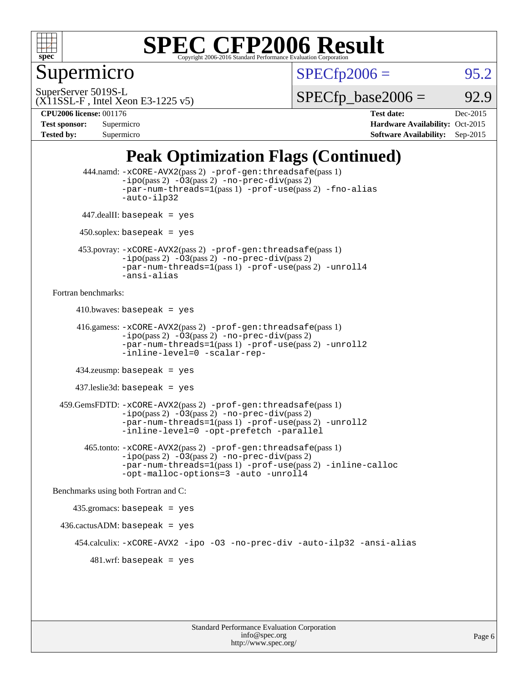

Supermicro

 $SPECTp2006 = 95.2$ 

SuperServer 5019S-L

 $SPECTp\_base2006 = 92.9$ 

### (X11SSL-F , Intel Xeon E3-1225 v5)

**[CPU2006 license:](http://www.spec.org/auto/cpu2006/Docs/result-fields.html#CPU2006license)** 001176 **[Test date:](http://www.spec.org/auto/cpu2006/Docs/result-fields.html#Testdate)** Dec-2015 **[Test sponsor:](http://www.spec.org/auto/cpu2006/Docs/result-fields.html#Testsponsor)** Supermicro **[Hardware Availability:](http://www.spec.org/auto/cpu2006/Docs/result-fields.html#HardwareAvailability)** Oct-2015 **[Tested by:](http://www.spec.org/auto/cpu2006/Docs/result-fields.html#Testedby)** Supermicro **Supermicro [Software Availability:](http://www.spec.org/auto/cpu2006/Docs/result-fields.html#SoftwareAvailability)** Sep-2015

### **[Peak Optimization Flags \(Continued\)](http://www.spec.org/auto/cpu2006/Docs/result-fields.html#PeakOptimizationFlags)**

```
 444.namd: -xCORE-AVX2(pass 2) -prof-gen:threadsafe(pass 1)
               -ipo(pass 2) -03(pass 2) -no-prec-div(pass 2)
               -par-num-threads=1(pass 1) -prof-use(pass 2) -fno-alias
               -auto-ilp32
      447.dealII: basepeak = yes
      450.soplex: basepeak = yes
      453.povray: -xCORE-AVX2(pass 2) -prof-gen:threadsafe(pass 1)
               -no-prec-div(pass 2)-par-num-threads=1(pass 1) -prof-use(pass 2) -unroll4
               -ansi-alias
Fortran benchmarks: 
     410.bwaves: basepeak = yes 416.gamess: -xCORE-AVX2(pass 2) -prof-gen:threadsafe(pass 1)
               -ipo(pass 2) -03(pass 2) -no-prec-div(pass 2)-par-num-threads=1(pass 1) -prof-use(pass 2) -unroll2
               -inline-level=0 -scalar-rep-
      434.zeusmp: basepeak = yes
     437.leslie3d: basepeak = yes
  459.GemsFDTD: -xCORE-AVX2(pass 2) -prof-gen:threadsafe(pass 1)
               -i\text{po}(pass 2) -\tilde{O}3(pass 2)-no-prec-div(pass 2)
               -par-num-threads=1(pass 1) -prof-use(pass 2) -unroll2
               -inline-level=0 -opt-prefetch -parallel
        465.tonto: -xCORE-AVX2(pass 2) -prof-gen:threadsafe(pass 1)
               -no-prec-div(pass 2)-par-num-threads=1(pass 1) -prof-use(pass 2) -inline-calloc
               -opt-malloc-options=3 -auto -unroll4
Benchmarks using both Fortran and C: 
     435.gromacs: basepeak = yes
 436.cactusADM:basepeak = yes 454.calculix: -xCORE-AVX2 -ipo -O3 -no-prec-div -auto-ilp32 -ansi-alias
        481.wrf: basepeak = yes
```